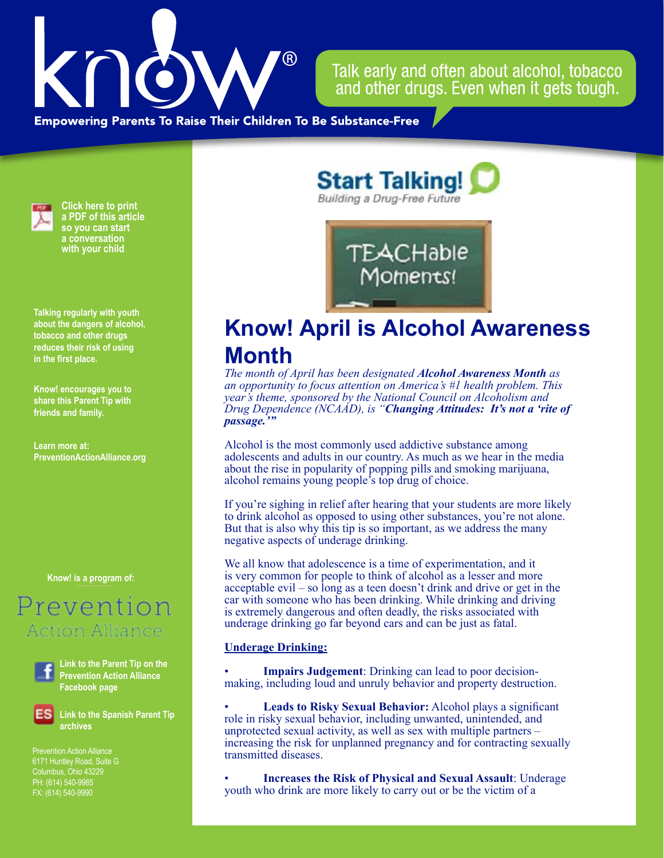

Talk early and often about alcohol, tobacco and other drugs. Even when it gets tough.

**Empowering Parents To Raise Their Children To Be Substance-Free** 



**Click here to print a PDF of this article so you can start a conversation with your child**

**Talking regularly with youth about the dangers of alcohol, tobacco and other drugs reduces their risk of using in the first place.**

**Know! encourages you to share this Parent Tip with friends and family.**

**Learn more at: PreventionActionAlliance.org**

**Know! is a program of:**

# Prevention Action Alliance



**Link to the Parent Tip on the Prevention Action Alliance Facebook page**

**Link to the Spanish Parent Tip archives**

6171 Huntley Road, Suite G Columbus, Ohio 43229 PH: (614) 540-9985 FX: (614) 540-9990

**Start Talking!** Building a Drug-Free Future



## **Know! April is Alcohol Awareness Month**

*The month of April has been designated Alcohol Awareness Month as an opportunity to focus attention on America's #1 health problem. This year's theme, sponsored by the National Council on Alcoholism and Drug Dependence (NCAAD), is "Changing Attitudes: It's not a 'rite of passage.'"*

Alcohol is the most commonly used addictive substance among adolescents and adults in our country. As much as we hear in the media about the rise in popularity of popping pills and smoking marijuana, alcohol remains young people's top drug of choice.

If you're sighing in relief after hearing that your students are more likely to drink alcohol as opposed to using other substances, you're not alone. But that is also why this tip is so important, as we address the many negative aspects of underage drinking.

We all know that adolescence is a time of experimentation, and it is very common for people to think of alcohol as a lesser and more acceptable evil – so long as a teen doesn't drink and drive or get in the car with someone who has been drinking. While drinking and driving is extremely dangerous and often deadly, the risks associated with underage drinking go far beyond cars and can be just as fatal.

#### **Underage Drinking:**

• **Impairs Judgement**: Drinking can lead to poor decisionmaking, including loud and unruly behavior and property destruction.

• **Leads to Risky Sexual Behavior:** Alcohol plays a significant role in risky sexual behavior, including unwanted, unintended, and unprotected sexual activity, as well as sex with multiple partners – increasing the risk for unplanned pregnancy and for contracting sexually transmitted diseases.

• **Increases the Risk of Physical and Sexual Assault**: Underage youth who drink are more likely to carry out or be the victim of a